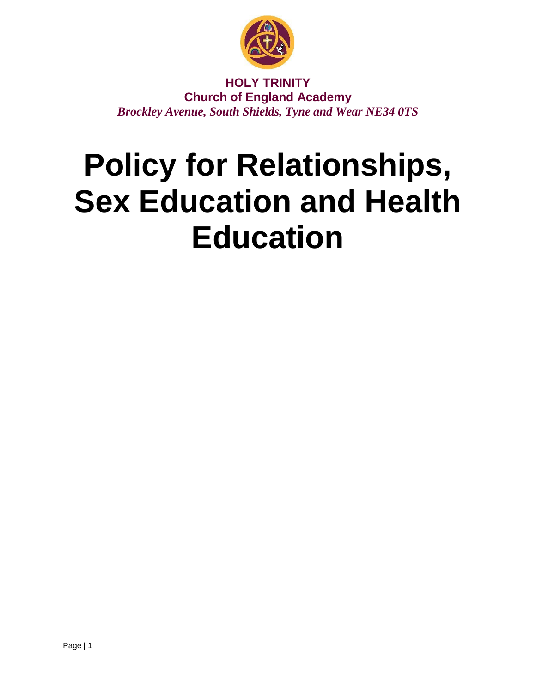

**HOLY TRINITY Church of England Academy** *Brockley Avenue, South Shields, Tyne and Wear NE34 0TS*

# **Policy for Relationships, Sex Education and Health Education**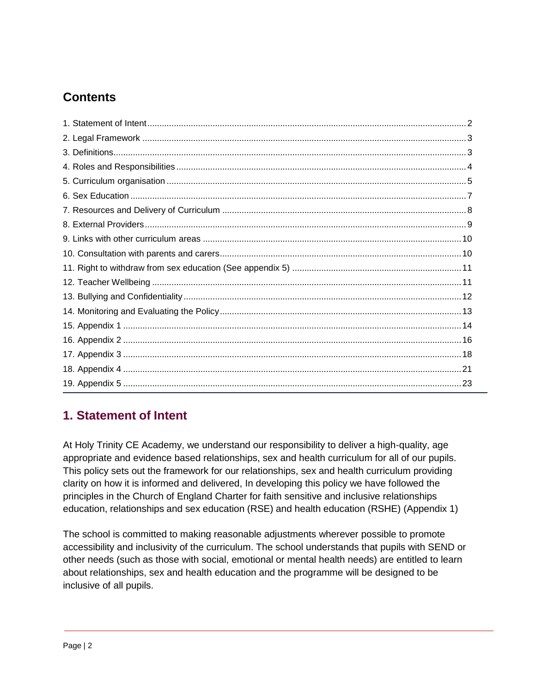# **Contents**

# <span id="page-1-0"></span>**1. Statement of Intent**

At Holy Trinity CE Academy, we understand our responsibility to deliver a high-quality, age appropriate and evidence based relationships, sex and health curriculum for all of our pupils. This policy sets out the framework for our relationships, sex and health curriculum providing clarity on how it is informed and delivered, In developing this policy we have followed the principles in the Church of England Charter for faith sensitive and inclusive relationships education, relationships and sex education (RSE) and health education (RSHE) (Appendix 1)

The school is committed to making reasonable adjustments wherever possible to promote accessibility and inclusivity of the curriculum. The school understands that pupils with SEND or other needs (such as those with social, emotional or mental health needs) are entitled to learn about relationships, sex and health education and the programme will be designed to be inclusive of all pupils.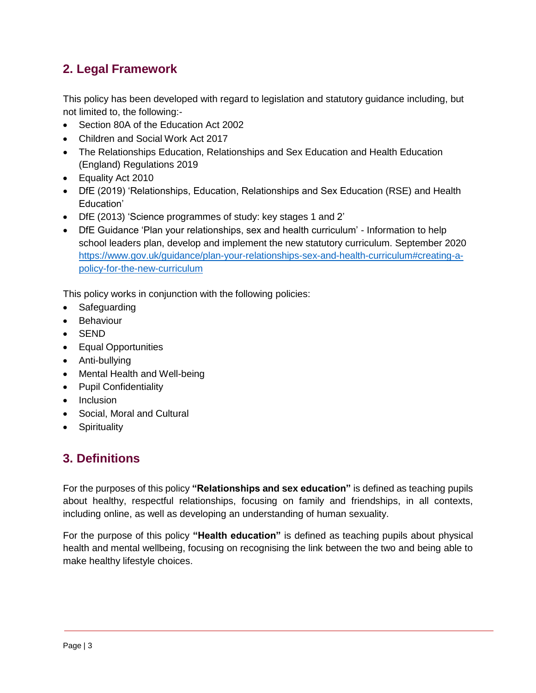# <span id="page-2-0"></span>**2. Legal Framework**

This policy has been developed with regard to legislation and statutory guidance including, but not limited to, the following:-

- Section 80A of the Education Act 2002
- Children and Social Work Act 2017
- The Relationships Education, Relationships and Sex Education and Health Education (England) Regulations 2019
- Equality Act 2010
- DfE (2019) 'Relationships, Education, Relationships and Sex Education (RSE) and Health Education'
- DfE (2013) 'Science programmes of study: key stages 1 and 2'
- DfE Guidance 'Plan your relationships, sex and health curriculum' Information to help school leaders plan, develop and implement the new statutory curriculum. September 2020 [https://www.gov.uk/guidance/plan-your-relationships-sex-and-health-curriculum#creating-a](https://www.gov.uk/guidance/plan-your-relationships-sex-and-health-curriculum#creating-a-policy-for-the-new-curriculum)[policy-for-the-new-curriculum](https://www.gov.uk/guidance/plan-your-relationships-sex-and-health-curriculum#creating-a-policy-for-the-new-curriculum)

This policy works in conjunction with the following policies:

- **Safeguarding**
- Behaviour
- SEND
- Equal Opportunities
- Anti-bullying
- Mental Health and Well-being
- Pupil Confidentiality
- Inclusion
- Social, Moral and Cultural
- Spirituality

# <span id="page-2-1"></span>**3. Definitions**

For the purposes of this policy **"Relationships and sex education"** is defined as teaching pupils about healthy, respectful relationships, focusing on family and friendships, in all contexts, including online, as well as developing an understanding of human sexuality.

For the purpose of this policy **"Health education"** is defined as teaching pupils about physical health and mental wellbeing, focusing on recognising the link between the two and being able to make healthy lifestyle choices.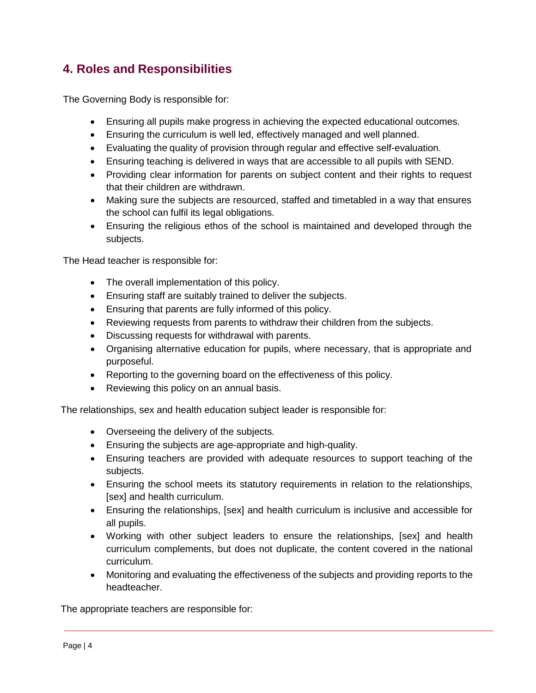# <span id="page-3-0"></span>**4. Roles and Responsibilities**

The Governing Body is responsible for:

- Ensuring all pupils make progress in achieving the expected educational outcomes.
- Ensuring the curriculum is well led, effectively managed and well planned.
- Evaluating the quality of provision through regular and effective self-evaluation.
- Ensuring teaching is delivered in ways that are accessible to all pupils with SEND.
- Providing clear information for parents on subject content and their rights to request that their children are withdrawn.
- Making sure the subjects are resourced, staffed and timetabled in a way that ensures the school can fulfil its legal obligations.
- Ensuring the religious ethos of the school is maintained and developed through the subjects.

The Head teacher is responsible for:

- The overall implementation of this policy.
- Ensuring staff are suitably trained to deliver the subjects.
- Ensuring that parents are fully informed of this policy.
- Reviewing requests from parents to withdraw their children from the subjects.
- Discussing requests for withdrawal with parents.
- Organising alternative education for pupils, where necessary, that is appropriate and purposeful.
- Reporting to the governing board on the effectiveness of this policy.
- Reviewing this policy on an annual basis.

The relationships, sex and health education subject leader is responsible for:

- Overseeing the delivery of the subjects.
- Ensuring the subjects are age-appropriate and high-quality.
- Ensuring teachers are provided with adequate resources to support teaching of the subjects.
- Ensuring the school meets its statutory requirements in relation to the relationships, [sex] and health curriculum.
- Ensuring the relationships, [sex] and health curriculum is inclusive and accessible for all pupils.
- Working with other subject leaders to ensure the relationships, [sex] and health curriculum complements, but does not duplicate, the content covered in the national curriculum.
- Monitoring and evaluating the effectiveness of the subjects and providing reports to the headteacher.

The appropriate teachers are responsible for: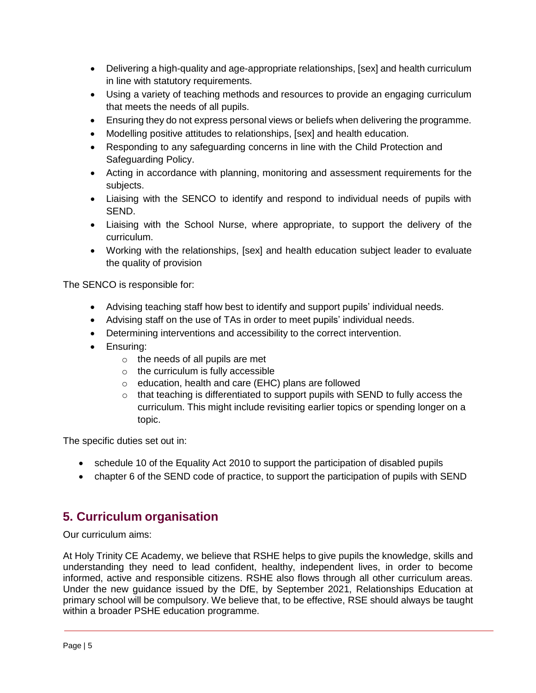- Delivering a high-quality and age-appropriate relationships, [sex] and health curriculum in line with statutory requirements.
- Using a variety of teaching methods and resources to provide an engaging curriculum that meets the needs of all pupils.
- Ensuring they do not express personal views or beliefs when delivering the programme.
- Modelling positive attitudes to relationships, [sex] and health education.
- Responding to any safeguarding concerns in line with the Child Protection and Safeguarding Policy.
- Acting in accordance with planning, monitoring and assessment requirements for the subjects.
- Liaising with the SENCO to identify and respond to individual needs of pupils with SEND.
- Liaising with the School Nurse, where appropriate, to support the delivery of the curriculum.
- Working with the relationships, [sex] and health education subject leader to evaluate the quality of provision

The SENCO is responsible for:

- Advising teaching staff how best to identify and support pupils' individual needs.
- Advising staff on the use of TAs in order to meet pupils' individual needs.
- Determining interventions and accessibility to the correct intervention.
- Ensuring:
	- $\circ$  the needs of all pupils are met
	- o the curriculum is fully accessible
	- o education, health and care (EHC) plans are followed
	- o that teaching is differentiated to support pupils with SEND to fully access the curriculum. This might include revisiting earlier topics or spending longer on a topic.

The specific duties set out in:

- schedule 10 of the Equality Act 2010 to support the participation of disabled pupils
- chapter 6 of the SEND code of practice, to support the participation of pupils with SEND

## <span id="page-4-0"></span>**5. Curriculum organisation**

Our curriculum aims:

At Holy Trinity CE Academy, we believe that RSHE helps to give pupils the knowledge, skills and understanding they need to lead confident, healthy, independent lives, in order to become informed, active and responsible citizens. RSHE also flows through all other curriculum areas. Under the new guidance issued by the DfE, by September 2021, Relationships Education at primary school will be compulsory. We believe that, to be effective, RSE should always be taught within a broader PSHE education programme.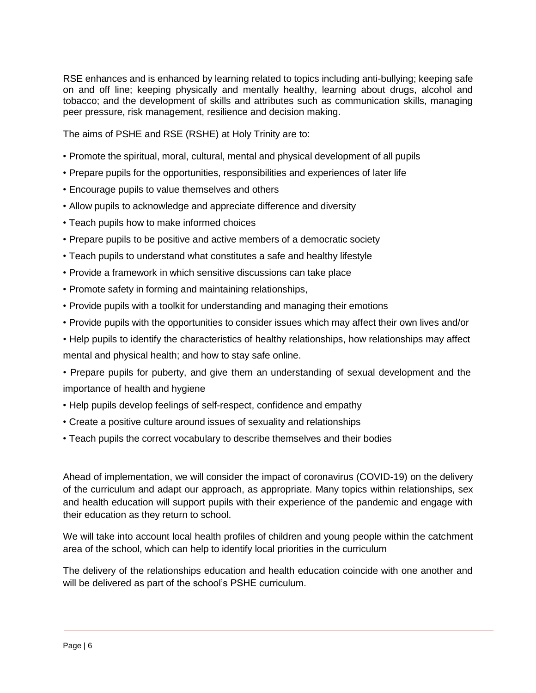RSE enhances and is enhanced by learning related to topics including anti-bullying; keeping safe on and off line; keeping physically and mentally healthy, learning about drugs, alcohol and tobacco; and the development of skills and attributes such as communication skills, managing peer pressure, risk management, resilience and decision making.

The aims of PSHE and RSE (RSHE) at Holy Trinity are to:

- Promote the spiritual, moral, cultural, mental and physical development of all pupils
- Prepare pupils for the opportunities, responsibilities and experiences of later life
- Encourage pupils to value themselves and others
- Allow pupils to acknowledge and appreciate difference and diversity
- Teach pupils how to make informed choices
- Prepare pupils to be positive and active members of a democratic society
- Teach pupils to understand what constitutes a safe and healthy lifestyle
- Provide a framework in which sensitive discussions can take place
- Promote safety in forming and maintaining relationships,
- Provide pupils with a toolkit for understanding and managing their emotions
- Provide pupils with the opportunities to consider issues which may affect their own lives and/or
- Help pupils to identify the characteristics of healthy relationships, how relationships may affect mental and physical health; and how to stay safe online.
- Prepare pupils for puberty, and give them an understanding of sexual development and the importance of health and hygiene
- Help pupils develop feelings of self-respect, confidence and empathy
- Create a positive culture around issues of sexuality and relationships
- Teach pupils the correct vocabulary to describe themselves and their bodies

Ahead of implementation, we will consider the impact of coronavirus (COVID-19) on the delivery of the curriculum and adapt our approach, as appropriate. Many topics within relationships, sex and health education will support pupils with their experience of the pandemic and engage with their education as they return to school.

We will take into account local health profiles of children and young people within the catchment area of the school, which can help to identify local priorities in the curriculum

The delivery of the relationships education and health education coincide with one another and will be delivered as part of the school's PSHE curriculum.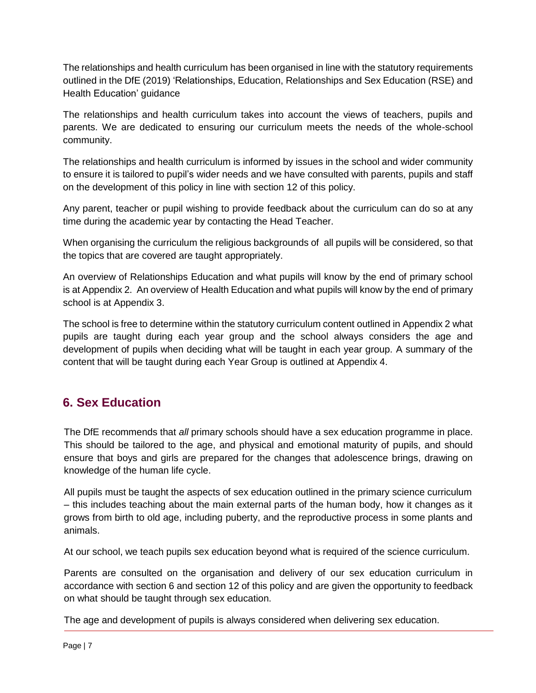The relationships and health curriculum has been organised in line with the statutory requirements outlined in the DfE (2019) 'Relationships, Education, Relationships and Sex Education (RSE) and Health Education' guidance

The relationships and health curriculum takes into account the views of teachers, pupils and parents. We are dedicated to ensuring our curriculum meets the needs of the whole-school community.

The relationships and health curriculum is informed by issues in the school and wider community to ensure it is tailored to pupil's wider needs and we have consulted with parents, pupils and staff on the development of this policy in line with section 12 of this policy.

Any parent, teacher or pupil wishing to provide feedback about the curriculum can do so at any time during the academic year by contacting the Head Teacher.

When organising the curriculum the religious backgrounds of all pupils will be considered, so that the topics that are covered are taught appropriately.

An overview of Relationships Education and what pupils will know by the end of primary school is at Appendix 2. An overview of Health Education and what pupils will know by the end of primary school is at Appendix 3.

The school is free to determine within the statutory curriculum content outlined in Appendix 2 what pupils are taught during each year group and the school always considers the age and development of pupils when deciding what will be taught in each year group. A summary of the content that will be taught during each Year Group is outlined at Appendix 4.

# <span id="page-6-0"></span>**6. Sex Education**

The DfE recommends that *all* primary schools should have a sex education programme in place. This should be tailored to the age, and physical and emotional maturity of pupils, and should ensure that boys and girls are prepared for the changes that adolescence brings, drawing on knowledge of the human life cycle.

All pupils must be taught the aspects of sex education outlined in the primary science curriculum – this includes teaching about the main external parts of the human body, how it changes as it grows from birth to old age, including puberty, and the reproductive process in some plants and animals.

At our school, we teach pupils sex education beyond what is required of the science curriculum.

Parents are consulted on the organisation and delivery of our sex education curriculum in accordance with section 6 and section 12 of this policy and are given the opportunity to feedback on what should be taught through sex education.

The age and development of pupils is always considered when delivering sex education.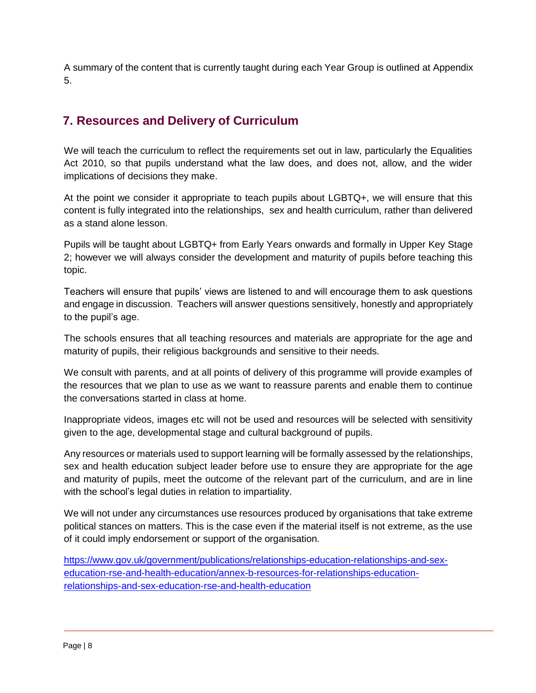A summary of the content that is currently taught during each Year Group is outlined at Appendix 5.

# <span id="page-7-0"></span>**7. Resources and Delivery of Curriculum**

We will teach the curriculum to reflect the requirements set out in law, particularly the Equalities Act 2010, so that pupils understand what the law does, and does not, allow, and the wider implications of decisions they make.

At the point we consider it appropriate to teach pupils about LGBTQ+, we will ensure that this content is fully integrated into the relationships, sex and health curriculum, rather than delivered as a stand alone lesson.

Pupils will be taught about LGBTQ+ from Early Years onwards and formally in Upper Key Stage 2; however we will always consider the development and maturity of pupils before teaching this topic.

Teachers will ensure that pupils' views are listened to and will encourage them to ask questions and engage in discussion. Teachers will answer questions sensitively, honestly and appropriately to the pupil's age.

The schools ensures that all teaching resources and materials are appropriate for the age and maturity of pupils, their religious backgrounds and sensitive to their needs.

We consult with parents, and at all points of delivery of this programme will provide examples of the resources that we plan to use as we want to reassure parents and enable them to continue the conversations started in class at home.

Inappropriate videos, images etc will not be used and resources will be selected with sensitivity given to the age, developmental stage and cultural background of pupils.

Any resources or materials used to support learning will be formally assessed by the relationships, sex and health education subject leader before use to ensure they are appropriate for the age and maturity of pupils, meet the outcome of the relevant part of the curriculum, and are in line with the school's legal duties in relation to impartiality.

We will not under any circumstances use resources produced by organisations that take extreme political stances on matters. This is the case even if the material itself is not extreme, as the use of it could imply endorsement or support of the organisation.

[https://www.gov.uk/government/publications/relationships-education-relationships-and-sex](https://www.gov.uk/government/publications/relationships-education-relationships-and-sex-education-rse-and-health-education/annex-b-resources-for-relationships-education-relationships-and-sex-education-rse-and-health-education)[education-rse-and-health-education/annex-b-resources-for-relationships-education](https://www.gov.uk/government/publications/relationships-education-relationships-and-sex-education-rse-and-health-education/annex-b-resources-for-relationships-education-relationships-and-sex-education-rse-and-health-education)[relationships-and-sex-education-rse-and-health-education](https://www.gov.uk/government/publications/relationships-education-relationships-and-sex-education-rse-and-health-education/annex-b-resources-for-relationships-education-relationships-and-sex-education-rse-and-health-education)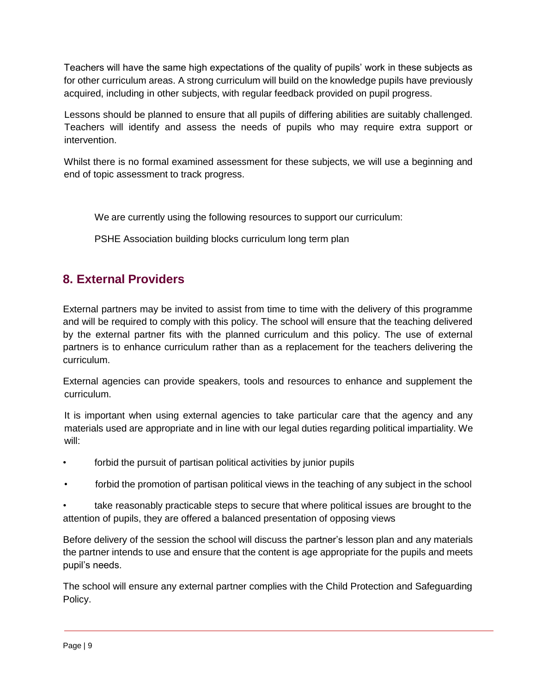Teachers will have the same high expectations of the quality of pupils' work in these subjects as for other curriculum areas. A strong curriculum will build on the knowledge pupils have previously acquired, including in other subjects, with regular feedback provided on pupil progress.

Lessons should be planned to ensure that all pupils of differing abilities are suitably challenged. Teachers will identify and assess the needs of pupils who may require extra support or intervention.

Whilst there is no formal examined assessment for these subjects, we will use a beginning and end of topic assessment to track progress.

We are currently using the following resources to support our curriculum:

PSHE Association building blocks curriculum long term plan

# <span id="page-8-0"></span>**8. External Providers**

External partners may be invited to assist from time to time with the delivery of this programme and will be required to comply with this policy. The school will ensure that the teaching delivered by the external partner fits with the planned curriculum and this policy. The use of external partners is to enhance curriculum rather than as a replacement for the teachers delivering the curriculum.

External agencies can provide speakers, tools and resources to enhance and supplement the curriculum.

It is important when using external agencies to take particular care that the agency and any materials used are appropriate and in line with our legal duties regarding political impartiality. We will:

- forbid the pursuit of partisan political activities by junior pupils
- forbid the promotion of partisan political views in the teaching of any subject in the school

• take reasonably practicable steps to secure that where political issues are brought to the attention of pupils, they are offered a balanced presentation of opposing views

Before delivery of the session the school will discuss the partner's lesson plan and any materials the partner intends to use and ensure that the content is age appropriate for the pupils and meets pupil's needs.

The school will ensure any external partner complies with the Child Protection and Safeguarding Policy.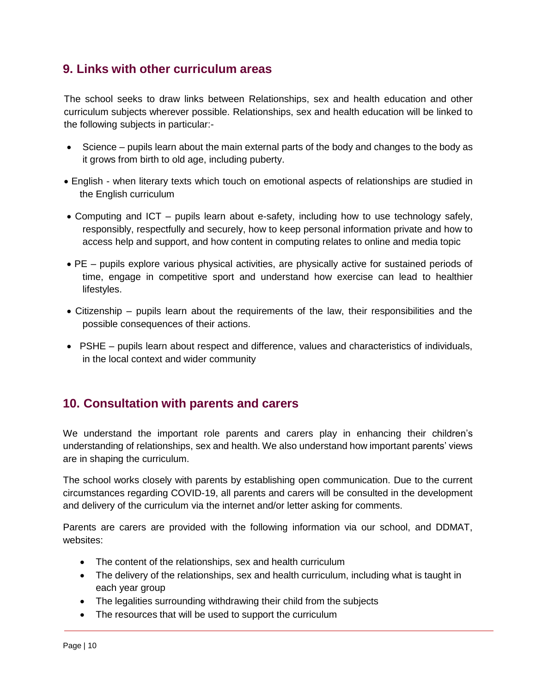## <span id="page-9-0"></span>**9. Links with other curriculum areas**

The school seeks to draw links between Relationships, sex and health education and other curriculum subjects wherever possible. Relationships, sex and health education will be linked to the following subjects in particular:-

- Science pupils learn about the main external parts of the body and changes to the body as it grows from birth to old age, including puberty.
- English when literary texts which touch on emotional aspects of relationships are studied in the English curriculum
- Computing and ICT pupils learn about e-safety, including how to use technology safely, responsibly, respectfully and securely, how to keep personal information private and how to access help and support, and how content in computing relates to online and media topic
- PE pupils explore various physical activities, are physically active for sustained periods of time, engage in competitive sport and understand how exercise can lead to healthier lifestyles.
- Citizenship pupils learn about the requirements of the law, their responsibilities and the possible consequences of their actions.
- PSHE pupils learn about respect and difference, values and characteristics of individuals, in the local context and wider community

# <span id="page-9-1"></span>**10. Consultation with parents and carers**

We understand the important role parents and carers play in enhancing their children's understanding of relationships, sex and health. We also understand how important parents' views are in shaping the curriculum.

The school works closely with parents by establishing open communication. Due to the current circumstances regarding COVID-19, all parents and carers will be consulted in the development and delivery of the curriculum via the internet and/or letter asking for comments.

Parents are carers are provided with the following information via our school, and DDMAT, websites:

- The content of the relationships, sex and health curriculum
- The delivery of the relationships, sex and health curriculum, including what is taught in each year group
- The legalities surrounding withdrawing their child from the subjects
- The resources that will be used to support the curriculum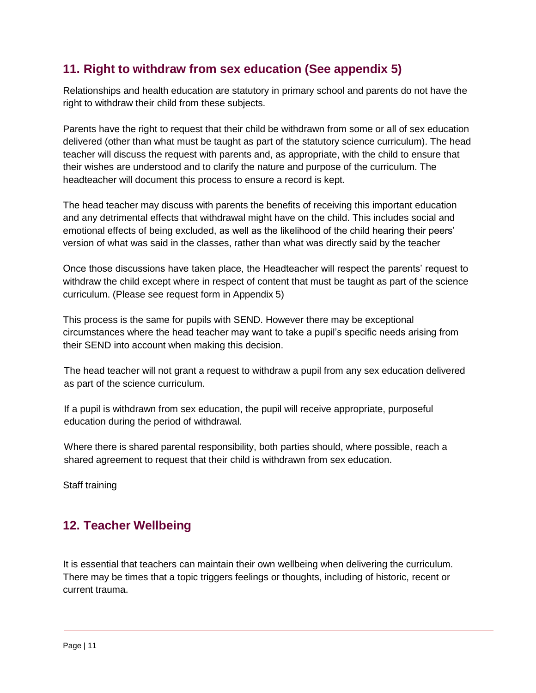# <span id="page-10-0"></span>**11. Right to withdraw from sex education (See appendix 5)**

Relationships and health education are statutory in primary school and parents do not have the right to withdraw their child from these subjects.

Parents have the right to request that their child be withdrawn from some or all of sex education delivered (other than what must be taught as part of the statutory science curriculum). The head teacher will discuss the request with parents and, as appropriate, with the child to ensure that their wishes are understood and to clarify the nature and purpose of the curriculum. The headteacher will document this process to ensure a record is kept.

The head teacher may discuss with parents the benefits of receiving this important education and any detrimental effects that withdrawal might have on the child. This includes social and emotional effects of being excluded, as well as the likelihood of the child hearing their peers' version of what was said in the classes, rather than what was directly said by the teacher

Once those discussions have taken place, the Headteacher will respect the parents' request to withdraw the child except where in respect of content that must be taught as part of the science curriculum. (Please see request form in Appendix 5)

This process is the same for pupils with SEND. However there may be exceptional circumstances where the head teacher may want to take a pupil's specific needs arising from their SEND into account when making this decision.

The head teacher will not grant a request to withdraw a pupil from any sex education delivered as part of the science curriculum.

If a pupil is withdrawn from sex education, the pupil will receive appropriate, purposeful education during the period of withdrawal.

Where there is shared parental responsibility, both parties should, where possible, reach a shared agreement to request that their child is withdrawn from sex education.

Staff training

# <span id="page-10-1"></span>**12. Teacher Wellbeing**

It is essential that teachers can maintain their own wellbeing when delivering the curriculum. There may be times that a topic triggers feelings or thoughts, including of historic, recent or current trauma.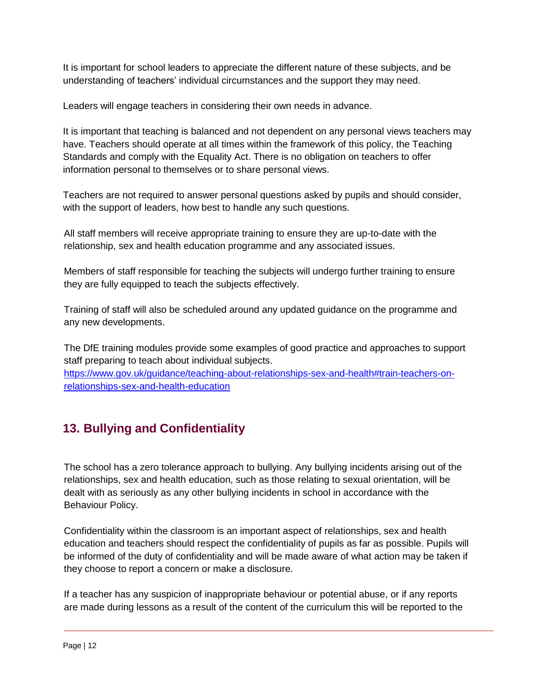It is important for school leaders to appreciate the different nature of these subjects, and be understanding of teachers' individual circumstances and the support they may need.

Leaders will engage teachers in considering their own needs in advance.

It is important that teaching is balanced and not dependent on any personal views teachers may have. Teachers should operate at all times within the framework of this policy, the Teaching Standards and comply with the Equality Act. There is no obligation on teachers to offer information personal to themselves or to share personal views.

Teachers are not required to answer personal questions asked by pupils and should consider, with the support of leaders, how best to handle any such questions.

All staff members will receive appropriate training to ensure they are up-to-date with the relationship, sex and health education programme and any associated issues.

Members of staff responsible for teaching the subjects will undergo further training to ensure they are fully equipped to teach the subjects effectively.

Training of staff will also be scheduled around any updated guidance on the programme and any new developments.

The DfE training modules provide some examples of good practice and approaches to support staff preparing to teach about individual subjects.

[https://www.gov.uk/guidance/teaching-about-relationships-sex-and-health#train-teachers-on](https://www.gov.uk/guidance/teaching-about-relationships-sex-and-health#train-teachers-on-relationships-sex-and-health-education)[relationships-sex-and-health-education](https://www.gov.uk/guidance/teaching-about-relationships-sex-and-health#train-teachers-on-relationships-sex-and-health-education)

# <span id="page-11-0"></span>**13. Bullying and Confidentiality**

The school has a zero tolerance approach to bullying. Any bullying incidents arising out of the relationships, sex and health education, such as those relating to sexual orientation, will be dealt with as seriously as any other bullying incidents in school in accordance with the Behaviour Policy.

Confidentiality within the classroom is an important aspect of relationships, sex and health education and teachers should respect the confidentiality of pupils as far as possible. Pupils will be informed of the duty of confidentiality and will be made aware of what action may be taken if they choose to report a concern or make a disclosure.

If a teacher has any suspicion of inappropriate behaviour or potential abuse, or if any reports are made during lessons as a result of the content of the curriculum this will be reported to the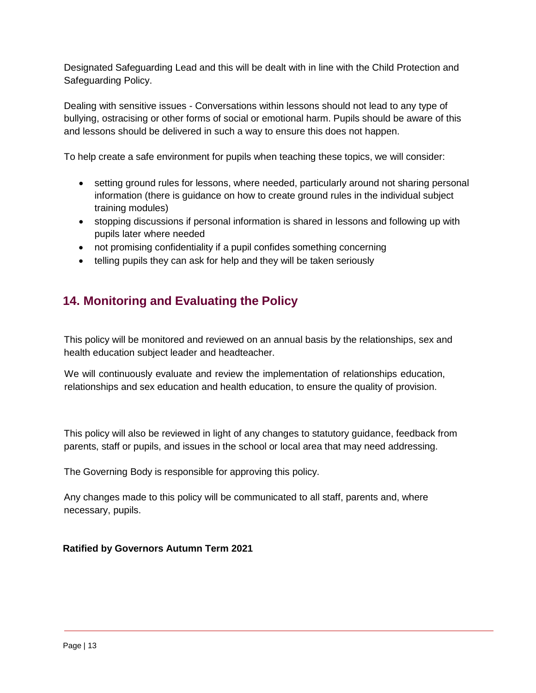Designated Safeguarding Lead and this will be dealt with in line with the Child Protection and Safeguarding Policy.

Dealing with sensitive issues - Conversations within lessons should not lead to any type of bullying, ostracising or other forms of social or emotional harm. Pupils should be aware of this and lessons should be delivered in such a way to ensure this does not happen.

To help create a safe environment for pupils when teaching these topics, we will consider:

- setting ground rules for lessons, where needed, particularly around not sharing personal information (there is guidance on how to create ground rules in the individual subject training modules)
- stopping discussions if personal information is shared in lessons and following up with pupils later where needed
- not promising confidentiality if a pupil confides something concerning
- telling pupils they can ask for help and they will be taken seriously

## <span id="page-12-0"></span>**14. Monitoring and Evaluating the Policy**

This policy will be monitored and reviewed on an annual basis by the relationships, sex and health education subject leader and headteacher.

We will continuously evaluate and review the implementation of relationships education, relationships and sex education and health education, to ensure the quality of provision.

This policy will also be reviewed in light of any changes to statutory guidance, feedback from parents, staff or pupils, and issues in the school or local area that may need addressing.

The Governing Body is responsible for approving this policy.

Any changes made to this policy will be communicated to all staff, parents and, where necessary, pupils.

#### **Ratified by Governors Autumn Term 2021**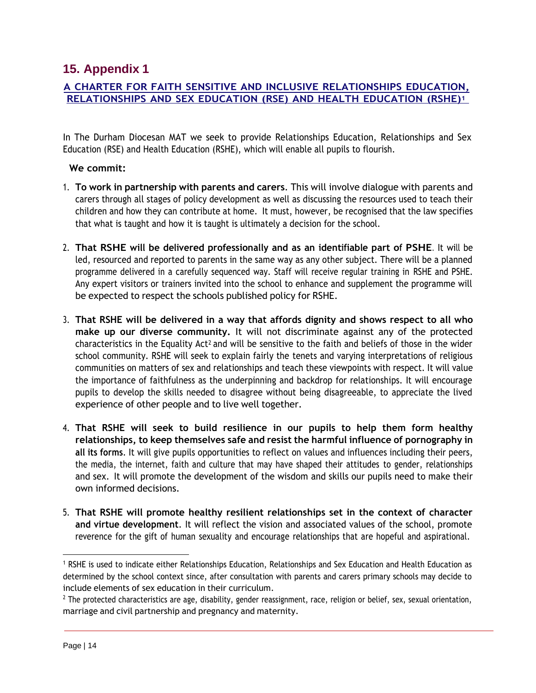## <span id="page-13-0"></span>**15. Appendix 1**

#### **A CHARTER FOR FAITH SENSITIVE AND INCLUSIVE RELATIONSHIPS EDUCATION, RELATIONSHIPS AND SEX EDUCATION (RSE) AND HEALTH EDUCATION (RSHE)<sup>1</sup>**

In The Durham Diocesan MAT we seek to provide Relationships Education, Relationships and Sex Education (RSE) and Health Education (RSHE), which will enable all pupils to flourish.

#### **We commit:**

- 1. **To work in partnership with parents and carers**. This will involve dialogue with parents and carers through all stages of policy development as well as discussing the resources used to teach their children and how they can contribute at home. It must, however, be recognised that the law specifies that what is taught and how it is taught is ultimately a decision for the school.
- 2. **That RSHE will be delivered professionally and as an identifiable part of PSHE**. It will be led, resourced and reported to parents in the same way as any other subject. There will be a planned programme delivered in a carefully sequenced way. Staff will receive regular training in RSHE and PSHE. Any expert visitors or trainers invited into the school to enhance and supplement the programme will be expected to respect the schools published policy for RSHE.
- 3. **That RSHE will be delivered in a way that affords dignity and shows respect to all who make up our diverse community.** It will not discriminate against any of the protected characteristics in the Equality Act2 and will be sensitive to the faith and beliefs of those in the wider school community. RSHE will seek to explain fairly the tenets and varying interpretations of religious communities on matters of sex and relationships and teach these viewpoints with respect. It will value the importance of faithfulness as the underpinning and backdrop for relationships. It will encourage pupils to develop the skills needed to disagree without being disagreeable, to appreciate the lived experience of other people and to live well together.
- 4. **That RSHE will seek to build resilience in our pupils to help them form healthy relationships, to keep themselves safe and resist the harmful influence of pornography in all its forms**. It will give pupils opportunities to reflect on values and influences including their peers, the media, the internet, faith and culture that may have shaped their attitudes to gender, relationships and sex. It will promote the development of the wisdom and skills our pupils need to make their own informed decisions.
- 5. **That RSHE will promote healthy resilient relationships set in the context of character and virtue development**. It will reflect the vision and associated values of the school, promote reverence for the gift of human sexuality and encourage relationships that are hopeful and aspirational.

<sup>1</sup> RSHE is used to indicate either Relationships Education, Relationships and Sex Education and Health Education as determined by the school context since, after consultation with parents and carers primary schools may decide to include elements of sex education in their curriculum.

 $<sup>2</sup>$  The protected characteristics are age, disability, gender reassignment, race, religion or belief, sex, sexual orientation,</sup> marriage and civil partnership and pregnancy and maternity.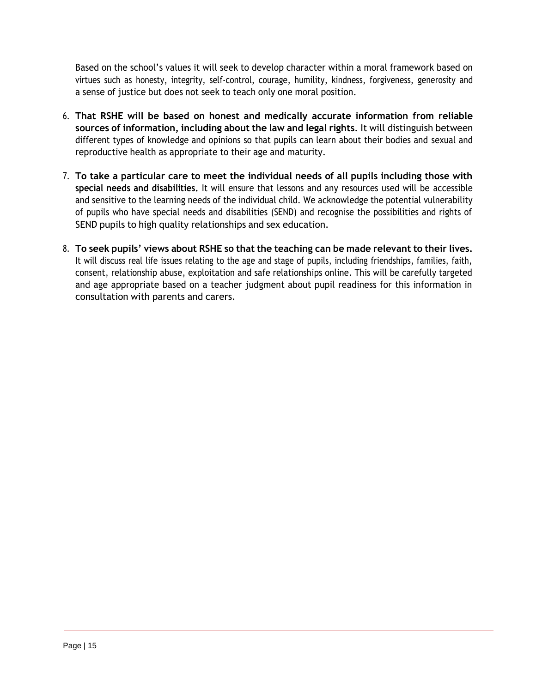Based on the school's values it will seek to develop character within a moral framework based on virtues such as honesty, integrity, self-control, courage, humility, kindness, forgiveness, generosity and a sense of justice but does not seek to teach only one moral position.

- 6. **That RSHE will be based on honest and medically accurate information from reliable sources of information, including about the law and legal rights**. It will distinguish between different types of knowledge and opinions so that pupils can learn about their bodies and sexual and reproductive health as appropriate to their age and maturity.
- 7. **To take a particular care to meet the individual needs of all pupils including those with special needs and disabilities.** It will ensure that lessons and any resources used will be accessible and sensitive to the learning needs of the individual child. We acknowledge the potential vulnerability of pupils who have special needs and disabilities (SEND) and recognise the possibilities and rights of SEND pupils to high quality relationships and sex education.
- 8. **To seek pupils' views about RSHE so that the teaching can be made relevant to their lives.** It will discuss real life issues relating to the age and stage of pupils, including friendships, families, faith, consent, relationship abuse, exploitation and safe relationships online. This will be carefully targeted and age appropriate based on a teacher judgment about pupil readiness for this information in consultation with parents and carers.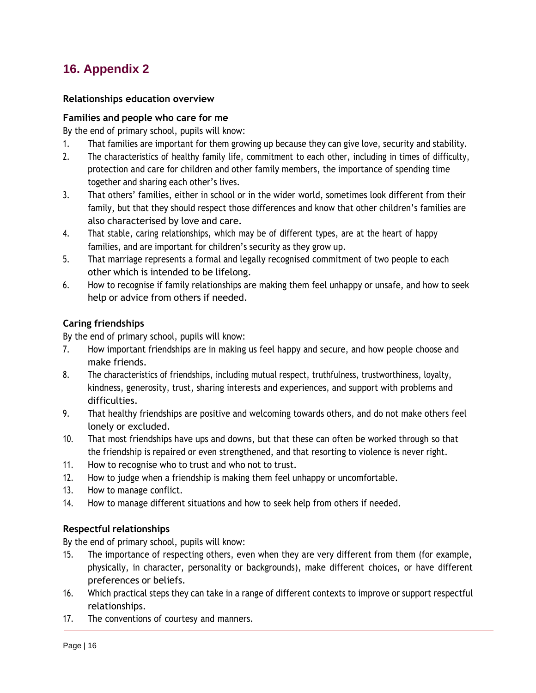## <span id="page-15-0"></span>**16. Appendix 2**

#### **Relationships education overview**

#### **Families and people who care for me**

By the end of primary school, pupils will know:

- 1. That families are important for them growing up because they can give love, security and stability.
- 2. The characteristics of healthy family life, commitment to each other, including in times of difficulty, protection and care for children and other family members, the importance of spending time together and sharing each other's lives.
- 3. That others' families, either in school or in the wider world, sometimes look different from their family, but that they should respect those differences and know that other children's families are also characterised by love and care.
- 4. That stable, caring relationships, which may be of different types, are at the heart of happy families, and are important for children's security as they grow up.
- 5. That marriage represents a formal and legally recognised commitment of two people to each other which is intended to be lifelong.
- 6. How to recognise if family relationships are making them feel unhappy or unsafe, and how to seek help or advice from others if needed.

### **Caring friendships**

By the end of primary school, pupils will know:

- 7. How important friendships are in making us feel happy and secure, and how people choose and make friends.
- 8. The characteristics of friendships, including mutual respect, truthfulness, trustworthiness, loyalty, kindness, generosity, trust, sharing interests and experiences, and support with problems and difficulties.
- 9. That healthy friendships are positive and welcoming towards others, and do not make others feel lonely or excluded.
- 10. That most friendships have ups and downs, but that these can often be worked through so that the friendship is repaired or even strengthened, and that resorting to violence is never right.
- 11. How to recognise who to trust and who not to trust.
- 12. How to judge when a friendship is making them feel unhappy or uncomfortable.
- 13. How to manage conflict.
- 14. How to manage different situations and how to seek help from others if needed.

### **Respectful relationships**

- 15. The importance of respecting others, even when they are very different from them (for example, physically, in character, personality or backgrounds), make different choices, or have different preferences or beliefs.
- 16. Which practical steps they can take in a range of different contexts to improve or support respectful relationships.
- 17. The conventions of courtesy and manners.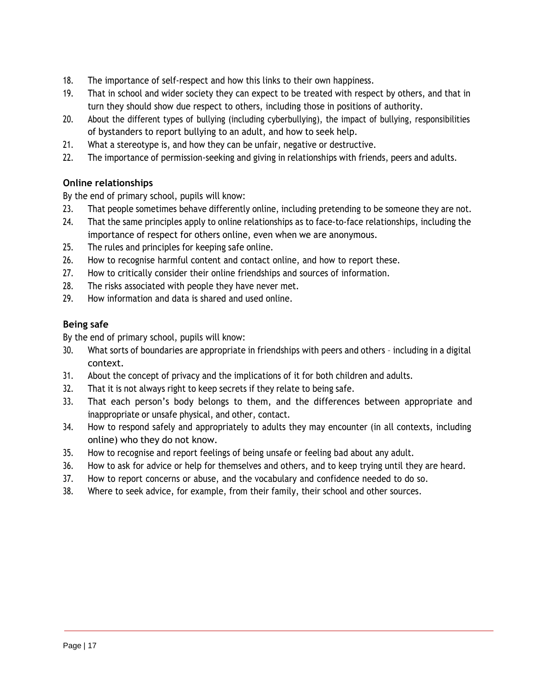- 18. The importance of self-respect and how this links to their own happiness.
- 19. That in school and wider society they can expect to be treated with respect by others, and that in turn they should show due respect to others, including those in positions of authority.
- 20. About the different types of bullying (including cyberbullying), the impact of bullying, responsibilities of bystanders to report bullying to an adult, and how to seek help.
- 21. What a stereotype is, and how they can be unfair, negative or destructive.
- 22. The importance of permission-seeking and giving in relationships with friends, peers and adults.

## **Online relationships**

By the end of primary school, pupils will know:

- 23. That people sometimes behave differently online, including pretending to be someone they are not.
- 24. That the same principles apply to online relationships as to face-to-face relationships, including the importance of respect for others online, even when we are anonymous.
- 25. The rules and principles for keeping safe online.
- 26. How to recognise harmful content and contact online, and how to report these.
- 27. How to critically consider their online friendships and sources of information.
- 28. The risks associated with people they have never met.
- 29. How information and data is shared and used online.

## **Being safe**

- 30. What sorts of boundaries are appropriate in friendships with peers and others including in a digital context.
- 31. About the concept of privacy and the implications of it for both children and adults.
- 32. That it is not always right to keep secrets if they relate to being safe.
- 33. That each person's body belongs to them, and the differences between appropriate and inappropriate or unsafe physical, and other, contact.
- 34. How to respond safely and appropriately to adults they may encounter (in all contexts, including online) who they do not know.
- 35. How to recognise and report feelings of being unsafe or feeling bad about any adult.
- 36. How to ask for advice or help for themselves and others, and to keep trying until they are heard.
- 37. How to report concerns or abuse, and the vocabulary and confidence needed to do so.
- 38. Where to seek advice, for example, from their family, their school and other sources.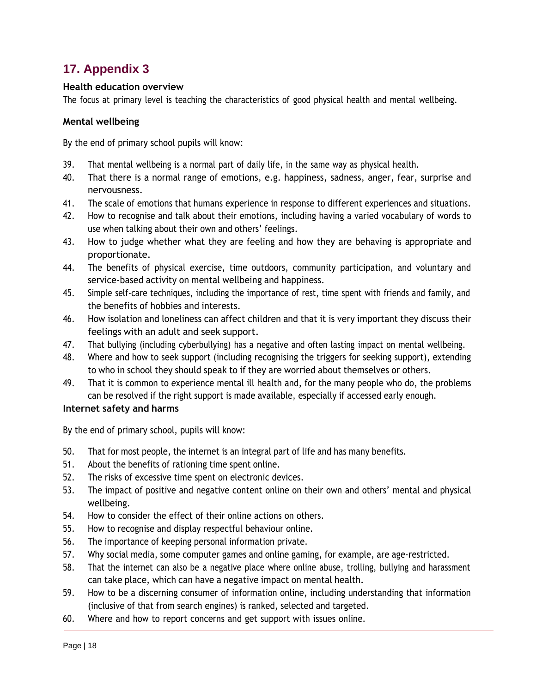## <span id="page-17-0"></span>**17. Appendix 3**

#### **Health education overview**

The focus at primary level is teaching the characteristics of good physical health and mental wellbeing.

#### **Mental wellbeing**

By the end of primary school pupils will know:

- 39. That mental wellbeing is a normal part of daily life, in the same way as physical health.
- 40. That there is a normal range of emotions, e.g. happiness, sadness, anger, fear, surprise and nervousness.
- 41. The scale of emotions that humans experience in response to different experiences and situations.
- 42. How to recognise and talk about their emotions, including having a varied vocabulary of words to use when talking about their own and others' feelings.
- 43. How to judge whether what they are feeling and how they are behaving is appropriate and proportionate.
- 44. The benefits of physical exercise, time outdoors, community participation, and voluntary and service-based activity on mental wellbeing and happiness.
- 45. Simple self-care techniques, including the importance of rest, time spent with friends and family, and the benefits of hobbies and interests.
- 46. How isolation and loneliness can affect children and that it is very important they discuss their feelings with an adult and seek support.
- 47. That bullying (including cyberbullying) has a negative and often lasting impact on mental wellbeing.
- 48. Where and how to seek support (including recognising the triggers for seeking support), extending to who in school they should speak to if they are worried about themselves or others.
- 49. That it is common to experience mental ill health and, for the many people who do, the problems can be resolved if the right support is made available, especially if accessed early enough.

#### **Internet safety and harms**

- 50. That for most people, the internet is an integral part of life and has many benefits.
- 51. About the benefits of rationing time spent online.
- 52. The risks of excessive time spent on electronic devices.
- 53. The impact of positive and negative content online on their own and others' mental and physical wellbeing.
- 54. How to consider the effect of their online actions on others.
- 55. How to recognise and display respectful behaviour online.
- 56. The importance of keeping personal information private.
- 57. Why social media, some computer games and online gaming, for example, are age-restricted.
- 58. That the internet can also be a negative place where online abuse, trolling, bullying and harassment can take place, which can have a negative impact on mental health.
- 59. How to be a discerning consumer of information online, including understanding that information (inclusive of that from search engines) is ranked, selected and targeted.
- 60. Where and how to report concerns and get support with issues online.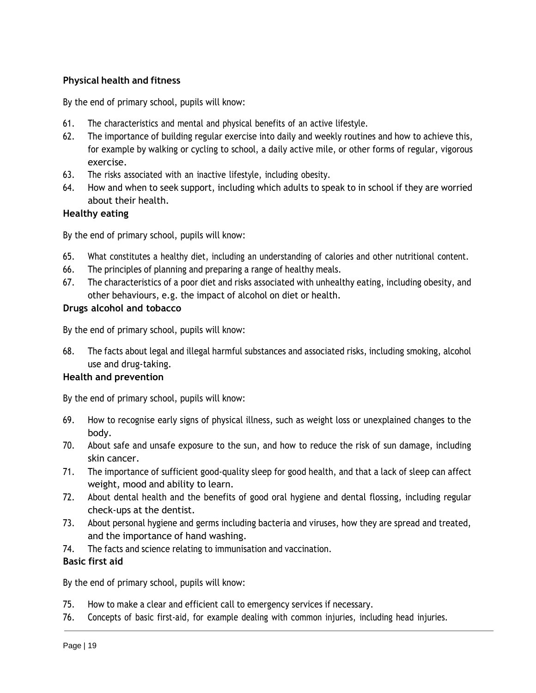### **Physical health and fitness**

By the end of primary school, pupils will know:

- 61. The characteristics and mental and physical benefits of an active lifestyle.
- 62. The importance of building regular exercise into daily and weekly routines and how to achieve this, for example by walking or cycling to school, a daily active mile, or other forms of regular, vigorous exercise.
- 63. The risks associated with an inactive lifestyle, including obesity.
- 64. How and when to seek support, including which adults to speak to in school if they are worried about their health.

#### **Healthy eating**

By the end of primary school, pupils will know:

- 65. What constitutes a healthy diet, including an understanding of calories and other nutritional content.
- 66. The principles of planning and preparing a range of healthy meals.
- 67. The characteristics of a poor diet and risks associated with unhealthy eating, including obesity, and other behaviours, e.g. the impact of alcohol on diet or health.

#### **Drugs alcohol and tobacco**

By the end of primary school, pupils will know:

68. The facts about legal and illegal harmful substances and associated risks, including smoking, alcohol use and drug-taking.

#### **Health and prevention**

By the end of primary school, pupils will know:

- 69. How to recognise early signs of physical illness, such as weight loss or unexplained changes to the body.
- 70. About safe and unsafe exposure to the sun, and how to reduce the risk of sun damage, including skin cancer.
- 71. The importance of sufficient good-quality sleep for good health, and that a lack of sleep can affect weight, mood and ability to learn.
- 72. About dental health and the benefits of good oral hygiene and dental flossing, including regular check-ups at the dentist.
- 73. About personal hygiene and germs including bacteria and viruses, how they are spread and treated, and the importance of hand washing.
- 74. The facts and science relating to immunisation and vaccination.

#### **Basic first aid**

- 75. How to make a clear and efficient call to emergency services if necessary.
- 76. Concepts of basic first-aid, for example dealing with common injuries, including head injuries.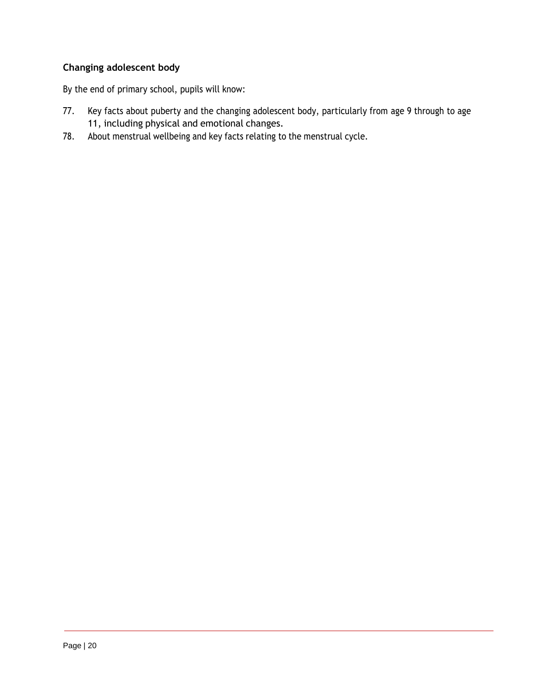## **Changing adolescent body**

- 77. Key facts about puberty and the changing adolescent body, particularly from age 9 through to age 11, including physical and emotional changes.
- 78. About menstrual wellbeing and key facts relating to the menstrual cycle.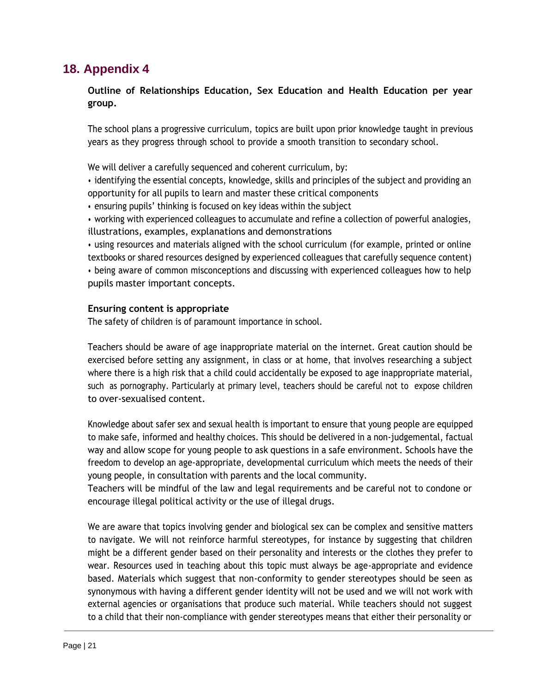## <span id="page-20-0"></span>**18. Appendix 4**

### **Outline of Relationships Education, Sex Education and Health Education per year group.**

The school plans a progressive curriculum, topics are built upon prior knowledge taught in previous years as they progress through school to provide a smooth transition to secondary school.

We will deliver a carefully sequenced and coherent curriculum, by:

• identifying the essential concepts, knowledge, skills and principles of the subject and providing an opportunity for all pupils to learn and master these critical components

- ensuring pupils' thinking is focused on key ideas within the subject
- working with experienced colleagues to accumulate and refine a collection of powerful analogies, illustrations, examples, explanations and demonstrations

• using resources and materials aligned with the school curriculum (for example, printed or online textbooks or shared resources designed by experienced colleagues that carefully sequence content) • being aware of common misconceptions and discussing with experienced colleagues how to help pupils master important concepts.

#### **Ensuring content is appropriate**

The safety of children is of paramount importance in school.

Teachers should be aware of age inappropriate material on the internet. Great caution should be exercised before setting any assignment, in class or at home, that involves researching a subject where there is a high risk that a child could accidentally be exposed to age inappropriate material, such as pornography. Particularly at primary level, teachers should be careful not to expose children to over-sexualised content.

Knowledge about safer sex and sexual health is important to ensure that young people are equipped to make safe, informed and healthy choices. This should be delivered in a non-judgemental, factual way and allow scope for young people to ask questions in a safe environment. Schools have the freedom to develop an age-appropriate, developmental curriculum which meets the needs of their young people, in consultation with parents and the local community.

Teachers will be mindful of the law and legal requirements and be careful not to condone or encourage illegal political activity or the use of illegal drugs.

We are aware that topics involving gender and biological sex can be complex and sensitive matters to navigate. We will not reinforce harmful stereotypes, for instance by suggesting that children might be a different gender based on their personality and interests or the clothes they prefer to wear. Resources used in teaching about this topic must always be age-appropriate and evidence based. Materials which suggest that non-conformity to gender stereotypes should be seen as synonymous with having a different gender identity will not be used and we will not work with external agencies or organisations that produce such material. While teachers should not suggest to a child that their non-compliance with gender stereotypes means that either their personality or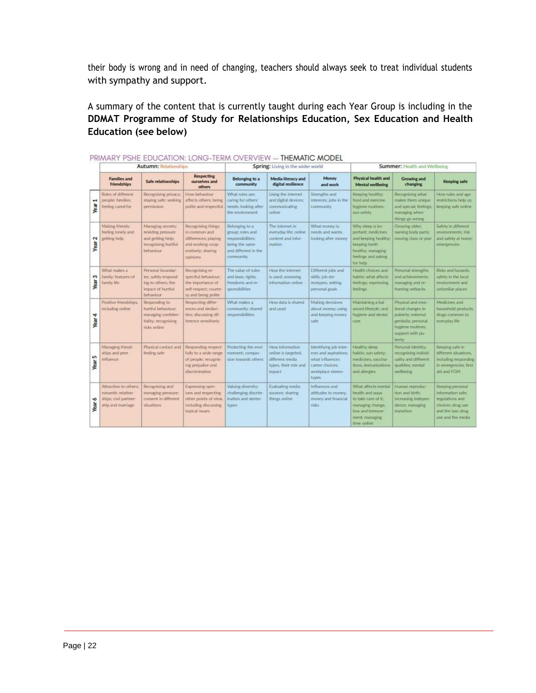their body is wrong and in need of changing, teachers should always seek to treat individual students with sympathy and support.

A summary of the content that is currently taught during each Year Group is including in the **DDMAT Programme of Study for Relationships Education, Sex Education and Health Education (see below)**

|           | <b>Autumn: Relationships</b>                                                              |                                                                                                   |                                                                                                                    | Spring: Living in the wider world                                                                               |                                                                                               |                                                                                                                     | Summer: Health and Wellbeing                                                                                                            |                                                                                                                                    |                                                                                                                         |
|-----------|-------------------------------------------------------------------------------------------|---------------------------------------------------------------------------------------------------|--------------------------------------------------------------------------------------------------------------------|-----------------------------------------------------------------------------------------------------------------|-----------------------------------------------------------------------------------------------|---------------------------------------------------------------------------------------------------------------------|-----------------------------------------------------------------------------------------------------------------------------------------|------------------------------------------------------------------------------------------------------------------------------------|-------------------------------------------------------------------------------------------------------------------------|
|           | <b>Families and</b><br>friendships                                                        | Safe relationships                                                                                | <b>Respecting</b><br>ourselves and<br>others                                                                       | Belonging to a<br>community                                                                                     | Media literacy and<br>digital resilience                                                      | Money<br>and work                                                                                                   | Physical health and<br><b>Mental wellbeing</b>                                                                                          | <b>Growing and</b><br>changing                                                                                                     | Keeping safe                                                                                                            |
| ₩<br>Year | Roles of different<br>people: families:<br>feeling cared for                              | Recognising privacy;<br>staying safe; seeking<br>permission.                                      | How behaviour<br>affects others; being<br>polite and respectful                                                    | What rules are:<br>caring for others'<br>needs; looking after<br>the environment.                               | Using the internet<br>and digital devices:<br>communicating<br>cinlines                       | Strengths and<br>interests; jobs in the<br>community.                                                               | Keeping healthy:<br>food and exercise.<br>hygiene routines;<br>sun safety                                                               | Recognising what<br>makes them unique<br>and special; feelings.<br>managing when<br>things go wrong                                | How rules and age<br>restrictions help us:<br>keeping safe online                                                       |
| 2<br>Year | Making friends:<br>teeling lonely and<br>getting help                                     | Managing secrets:<br>resisting pressure.<br>and getting help:<br>recognising hurtful<br>behaviour | Recognising things<br>in common and<br>differences; playing<br>and working coop-<br>eratively: sharing<br>opinions | Belonging to a<br>group; roles and<br>responsibilities:<br>being the same.<br>and different in the<br>community | The internet in<br>everyday life; online<br>content and infor-<br>maticin                     | What money is:<br>needs and wants:<br>looking after money                                                           | Why sleep is im-<br>portant; medicines<br>and keeping healthy.<br>keeping teeth<br>healthy; managing<br>feelings and asking<br>for help | Growing older:<br>naming body parts;<br>reoving class or year                                                                      | Safety in different<br>environments; risk<br>and safety at home:<br>emergencies                                         |
| s<br>Year | What makes a<br>family: features of<br>family life                                        | Personal boundary<br>les: safely respond-<br>ing to others; the<br>impact of hurtful<br>behaviour | Recognising re-<br>spectful behaviour:<br>the importance of<br>self-respect; courte-<br>sy and being polite        | The value of rules<br>and laws: rights.<br>freedoms and re-<br>sponsibilities                                   | How the internet<br>is used; assessing<br>information online                                  | Different jobs and<br>skills; job ste-<br>reotypes; setting<br>personal goals                                       | Health choices and<br>habits; what affects<br>feelings; expressing<br>feelings                                                          | Personal strengths<br>and achievements:<br>managing and re-<br>framing setbacks                                                    | Risks and hazards:<br>safety in the local<br>environment and<br>unfamiliar places                                       |
| 4<br>Year | Pasitive friendships.<br>including online                                                 | Responding to<br>hurtful behaviour:<br>managing confiden-<br>tiality; recognising<br>risks online | Respecting differ-<br>ences and similari-<br>ties; discussing dif-<br>ference sensitively                          | What makes a<br>community: shared<br>responsibilities                                                           | How data is shared<br>and used                                                                | Making decisions<br>about money; using<br>and keeping money<br>safe                                                 | Maintaining a bal-<br>anced lifestyle; oral<br>hypiene and dental<br>care                                                               | Physical and emp-<br>tional changes in<br>puberty; external<br>genitalia: personal<br>hypene mutines;<br>support with pu-<br>berty | Medicines and<br>household products;<br>drugs common to<br>everyday life.                                               |
| S<br>Year | Managing friend-<br>ships and geer<br>influence                                           | Physical contact and<br>feeling safe                                                              | Responding respect-<br>fully to a wide range<br>of people; recognis-<br>ing prejudice and<br>discrimination-       | Protecting the ervi-<br>ronment; compas-<br>sion towards others.                                                | How information<br>online is targeted:<br>different media<br>types, their role and<br>impiact | Identifying job inter-<br>ests and aspirations:<br>what influences<br>career choices:<br>workplace stereo-<br>types | Healthy sleep<br>habits: sun safety:<br>medicines, vaccina-<br>tions, immunisations<br>and allergies                                    | Personal identity;<br>recognising individ-<br>uality and different.<br>qualities: mental<br>wellbeing                              | Keeping safe in<br>different situations.<br>including responding<br>in emergencies, first<br>aid and FGM                |
| ó<br>Year | Attraction to others:<br>romantic relation-<br>ships; civil partner-<br>ship and marriage | Recognising and<br>managing pressure;<br>consent in different<br>situations                       | Expressing coin-<br>kins and respecting<br>other points of view.<br>including discussing<br>topical issues         | Valuing diversity;<br>challenging discrim-<br>ination and stereo-<br><b>types</b>                               | Evaluating media<br>sources: sharing<br>things online                                         | Influences and<br>attitudes to money:<br>money and financial<br>risks                                               | What affects mental<br>health and ways<br>to take care of it:<br>managing change.<br>loss and bereave-<br>ment: managing<br>time online | Human reproduc-<br>tion and birth:<br>increasing indepen-<br>dence; managing<br>transition                                         | Keeping personal<br>information safe:<br>regulations and<br>choices: drug use<br>and the law; drug<br>use and the media |

#### DDIMADY DOLE EDLICATION-LONG TEDM OVEDVIEW THEMATIC MODEL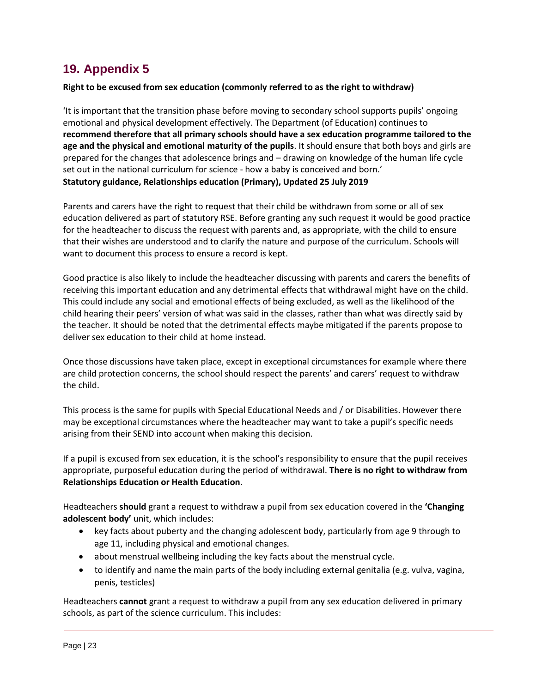## <span id="page-22-0"></span>**19. Appendix 5**

#### **Right to be excused from sex education (commonly referred to as the right to withdraw)**

'It is important that the transition phase before moving to secondary school supports pupils' ongoing emotional and physical development effectively. The Department (of Education) continues to **recommend therefore that all primary schools should have a sex education programme tailored to the age and the physical and emotional maturity of the pupils**. It should ensure that both boys and girls are prepared for the changes that adolescence brings and – drawing on knowledge of the human life cycle set out in the national curriculum for science - how a baby is conceived and born.' **Statutory guidance, Relationships education (Primary), Updated 25 July 2019**

Parents and carers have the right to request that their child be withdrawn from some or all of sex education delivered as part of statutory RSE. Before granting any such request it would be good practice for the headteacher to discuss the request with parents and, as appropriate, with the child to ensure that their wishes are understood and to clarify the nature and purpose of the curriculum. Schools will want to document this process to ensure a record is kept.

Good practice is also likely to include the headteacher discussing with parents and carers the benefits of receiving this important education and any detrimental effects that withdrawal might have on the child. This could include any social and emotional effects of being excluded, as well as the likelihood of the child hearing their peers' version of what was said in the classes, rather than what was directly said by the teacher. It should be noted that the detrimental effects maybe mitigated if the parents propose to deliver sex education to their child at home instead.

Once those discussions have taken place, except in exceptional circumstances for example where there are child protection concerns, the school should respect the parents' and carers' request to withdraw the child.

This process is the same for pupils with Special Educational Needs and / or Disabilities. However there may be exceptional circumstances where the headteacher may want to take a pupil's specific needs arising from their SEND into account when making this decision.

If a pupil is excused from sex education, it is the school's responsibility to ensure that the pupil receives appropriate, purposeful education during the period of withdrawal. **There is no right to withdraw from Relationships Education or Health Education.**

Headteachers **should** grant a request to withdraw a pupil from sex education covered in the **'Changing adolescent body'** unit, which includes:

- key facts about puberty and the changing adolescent body, particularly from age 9 through to age 11, including physical and emotional changes.
- about menstrual wellbeing including the key facts about the menstrual cycle.
- to identify and name the main parts of the body including external genitalia (e.g. vulva, vagina, penis, testicles)

Headteachers **cannot** grant a request to withdraw a pupil from any sex education delivered in primary schools, as part of the science curriculum. This includes: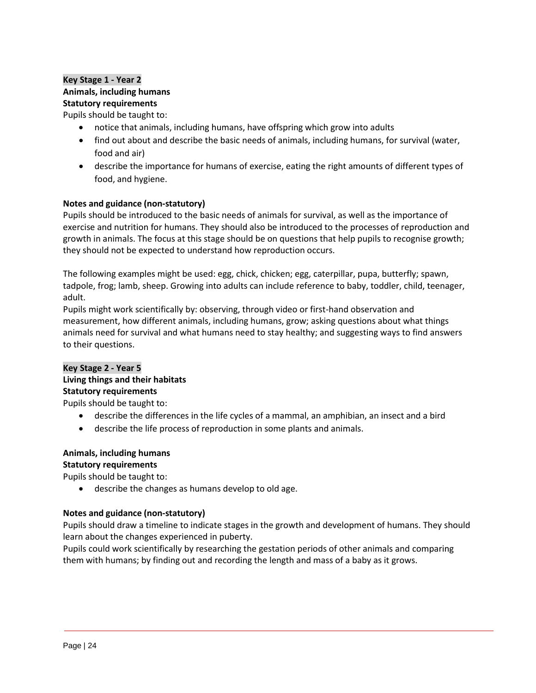#### **Key Stage 1 - Year 2 Animals, including humans Statutory requirements**

Pupils should be taught to:

- notice that animals, including humans, have offspring which grow into adults
- find out about and describe the basic needs of animals, including humans, for survival (water, food and air)
- describe the importance for humans of exercise, eating the right amounts of different types of food, and hygiene.

#### **Notes and guidance (non-statutory)**

Pupils should be introduced to the basic needs of animals for survival, as well as the importance of exercise and nutrition for humans. They should also be introduced to the processes of reproduction and growth in animals. The focus at this stage should be on questions that help pupils to recognise growth; they should not be expected to understand how reproduction occurs.

The following examples might be used: egg, chick, chicken; egg, caterpillar, pupa, butterfly; spawn, tadpole, frog; lamb, sheep. Growing into adults can include reference to baby, toddler, child, teenager, adult.

Pupils might work scientifically by: observing, through video or first-hand observation and measurement, how different animals, including humans, grow; asking questions about what things animals need for survival and what humans need to stay healthy; and suggesting ways to find answers to their questions.

#### **Key Stage 2 - Year 5**

#### **Living things and their habitats Statutory requirements**

Pupils should be taught to:

- describe the differences in the life cycles of a mammal, an amphibian, an insect and a bird
- describe the life process of reproduction in some plants and animals.

#### **Animals, including humans Statutory requirements**

Pupils should be taught to:

• describe the changes as humans develop to old age.

#### **Notes and guidance (non-statutory)**

Pupils should draw a timeline to indicate stages in the growth and development of humans. They should learn about the changes experienced in puberty.

Pupils could work scientifically by researching the gestation periods of other animals and comparing them with humans; by finding out and recording the length and mass of a baby as it grows.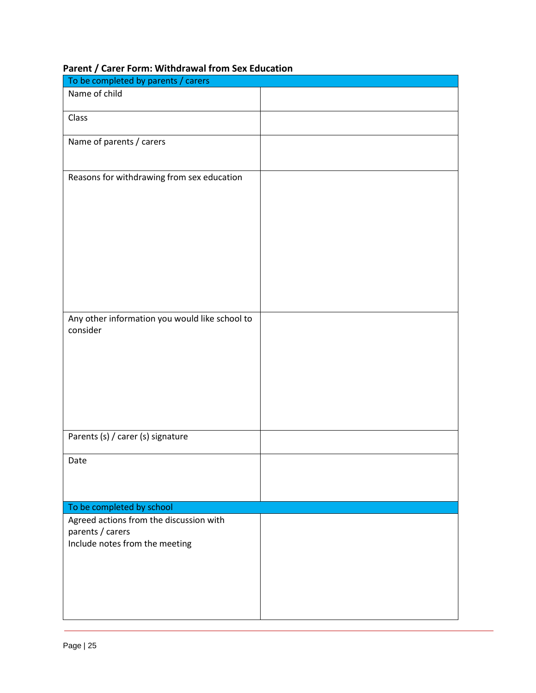| To be completed by parents / carers                                                           |  |
|-----------------------------------------------------------------------------------------------|--|
| Name of child                                                                                 |  |
| Class                                                                                         |  |
| Name of parents / carers                                                                      |  |
| Reasons for withdrawing from sex education                                                    |  |
| Any other information you would like school to<br>consider                                    |  |
| Parents (s) / carer (s) signature                                                             |  |
| Date                                                                                          |  |
| To be completed by school                                                                     |  |
| Agreed actions from the discussion with<br>parents / carers<br>Include notes from the meeting |  |

## **Parent / Carer Form: Withdrawal from Sex Education**